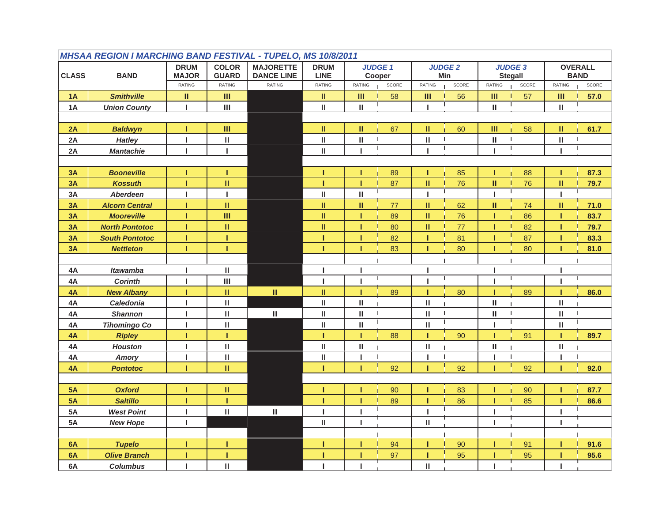|                                            | <b>MHSAA REGION I MARCHING BAND FESTIVAL - TUPELO, MS 10/8/2011</b> |                               |                              |                             |                              |                                             |                               |                                                     |                                       |  |  |  |  |  |
|--------------------------------------------|---------------------------------------------------------------------|-------------------------------|------------------------------|-----------------------------|------------------------------|---------------------------------------------|-------------------------------|-----------------------------------------------------|---------------------------------------|--|--|--|--|--|
|                                            |                                                                     | <b>DRUM</b>                   | <b>COLOR</b>                 | <b>MAJORETTE</b>            | <b>DRUM</b>                  | <b>JUDGE 1</b>                              | <b>JUDGE 2</b>                | <b>JUDGE 3</b>                                      | <b>OVERALL</b>                        |  |  |  |  |  |
| <b>CLASS</b>                               | <b>BAND</b>                                                         | <b>MAJOR</b><br><b>RATING</b> | <b>GUARD</b><br>RATING       | <b>DANCE LINE</b><br>RATING | <b>LINE</b><br><b>RATING</b> | Cooper<br><b>RATING</b><br>$\texttt{SCORE}$ | Min<br><b>RATING</b><br>SCORE | <b>Stegall</b><br><b>RATING</b><br>$\texttt{SCORE}$ | <b>BAND</b><br><b>RATING</b><br>SCORE |  |  |  |  |  |
|                                            |                                                                     |                               |                              |                             |                              |                                             |                               |                                                     |                                       |  |  |  |  |  |
| 1A                                         | <b>Smithville</b>                                                   | Ш                             | III                          |                             | Ш.                           | Ш<br>58                                     | III<br>56                     | Ш<br>57                                             | Ш<br>57.0                             |  |  |  |  |  |
| 1A                                         | $\mathbf{III}$<br>I.<br><b>Union County</b>                         |                               |                              |                             | П.                           | $\mathsf{II}$                               |                               | Ш                                                   | Ш                                     |  |  |  |  |  |
|                                            |                                                                     |                               |                              |                             |                              |                                             |                               |                                                     |                                       |  |  |  |  |  |
| 2A                                         | <b>Baldwyn</b>                                                      | т<br>$\mathbf{I}$             | $\mathbf{m}$<br>$\mathbf{H}$ |                             | Ш<br>$\mathbf H$             | П.<br>67<br>$\mathbf{I}$                    | 60<br>Ш<br>- 1                | Ш<br>58<br>$\mathbf{I}$                             | ш<br>61.7<br>$\mathbf{I}$             |  |  |  |  |  |
| 2A<br>2A                                   | <b>Hatley</b>                                                       | $\mathbf{I}$                  |                              |                             | $\mathbf H$                  | Ш<br>$\mathbf{I}$<br>J.                     | Ш                             | Ш<br>I.                                             | Ш                                     |  |  |  |  |  |
|                                            | <b>Mantachie</b>                                                    |                               | L                            |                             |                              |                                             |                               |                                                     | т                                     |  |  |  |  |  |
| 3A                                         | <b>Booneville</b>                                                   | т                             | T.                           |                             | т                            | 89<br>т                                     | 85<br>т                       | 88<br>п                                             | 87.3<br>т                             |  |  |  |  |  |
| 3A                                         | <b>Kossuth</b>                                                      | т                             | $\rm H$                      |                             | т                            | 87<br>т                                     | Ш<br>76                       | $\mathbf{H}$<br>76                                  | $\mathbf{H}$<br>79.7                  |  |  |  |  |  |
| $3A$                                       | Aberdeen                                                            | I.                            | I.                           |                             | $\rm H$                      | $\mathbf{H}$                                | L                             | I.                                                  | т                                     |  |  |  |  |  |
| 3A                                         | <b>Alcorn Central</b>                                               | т                             | Ш                            |                             | П.                           | Ш<br>77                                     | Ш<br>62                       | Ш<br>74                                             | Ш<br>71.0                             |  |  |  |  |  |
|                                            | <b>Mooreville</b>                                                   | т                             | Ш                            |                             | П.                           | 89                                          | 76                            | 86                                                  | п                                     |  |  |  |  |  |
| 3A                                         | <b>North Pontotoc</b>                                               | т                             |                              |                             | H,                           | 80<br>т                                     | Ш<br>77                       | Т                                                   | 83.7<br>T                             |  |  |  |  |  |
| 3A<br>3A                                   | <b>South Pontotoc</b>                                               | т                             | Ш<br>т.                      |                             | т                            | 82                                          | Ш<br>81<br>Π                  | 82<br>87                                            | 79.7<br>83.3<br>п                     |  |  |  |  |  |
| 3A                                         |                                                                     | т                             | т                            |                             | т                            | 83                                          | 80                            | 80                                                  | п                                     |  |  |  |  |  |
|                                            | <b>Nettleton</b>                                                    |                               |                              |                             |                              |                                             |                               |                                                     | 81.0                                  |  |  |  |  |  |
| $\mathbf H$<br><b>Itawamba</b><br>4A<br>I. |                                                                     |                               |                              | т                           |                              |                                             |                               |                                                     |                                       |  |  |  |  |  |
| 4A                                         | <b>Corinth</b>                                                      | I.                            | $\mathbf{III}$               |                             | I.                           | L.                                          | т                             | ı                                                   | т                                     |  |  |  |  |  |
| 4A                                         | <b>New Albany</b>                                                   | ī                             | H.                           | $\rm H$                     | H.                           | 89                                          | 80                            | 89                                                  | 86.0                                  |  |  |  |  |  |
| 4A                                         | <b>Caledonia</b>                                                    | I.                            | $\mathbf H$                  |                             | $\mathbf{H}$                 | $\mathbf{H}$                                | $\mathbf{H}$                  | $\mathbf{II}$                                       | Ш                                     |  |  |  |  |  |
| 4A                                         | <b>Shannon</b>                                                      | T.                            | $\mathbf H$                  | $\mathbf H$                 | $\mathbf{H}$                 | $\sf II$<br>J.                              | Ш                             | Ш                                                   | Ш                                     |  |  |  |  |  |
| 4A                                         | <b>Tihomingo Co</b>                                                 | L                             | $\mathbf H$                  |                             | $\mathbf H$                  | $\mathbf{H}$                                | Ш                             | I.                                                  | Ш                                     |  |  |  |  |  |
| 4A                                         | <b>Ripley</b>                                                       | т                             | т                            |                             | т                            | 88<br>т                                     | 90                            | 91<br>т                                             | 89.7<br>т                             |  |  |  |  |  |
| 4A                                         | <b>Houston</b>                                                      | L                             | $\mathbf{H}$                 |                             | Ш                            | $\mathbf{H}$                                | Ш                             | Ш                                                   | Ш                                     |  |  |  |  |  |
| 4A                                         | Amory                                                               | L                             | $\mathbf H$                  |                             | $\mathbf H$                  | L.                                          | L                             | I.                                                  | I.                                    |  |  |  |  |  |
| 4A                                         | <b>Pontotoc</b>                                                     | т                             | $\rm H$                      |                             | т                            | 92<br>т                                     | 92<br>т                       | 92<br>п                                             | 92.0<br>т                             |  |  |  |  |  |
|                                            |                                                                     |                               |                              |                             |                              |                                             |                               |                                                     |                                       |  |  |  |  |  |
| 5A                                         | <b>Oxford</b>                                                       | т                             | П.                           |                             | т                            | 90                                          | 83                            | 90                                                  | 87.7<br>п                             |  |  |  |  |  |
| 5A                                         | <b>Saltillo</b>                                                     | т                             | T.                           |                             | т                            | 89                                          | 86                            | 85                                                  | 86.6                                  |  |  |  |  |  |
| 5A                                         | <b>West Point</b>                                                   | T.                            | $\mathbf H$                  | $\mathbf H$                 | L                            | т                                           | ı                             | L                                                   | т                                     |  |  |  |  |  |
| 5A                                         | <b>New Hope</b>                                                     | L.                            |                              |                             | Ш                            |                                             | Ш                             | п                                                   | ı                                     |  |  |  |  |  |
|                                            |                                                                     |                               |                              |                             |                              |                                             |                               |                                                     |                                       |  |  |  |  |  |
| 6A                                         | <b>Tupelo</b>                                                       | т                             | т.                           |                             | т                            | 94                                          | 90<br>п                       | 91                                                  | 91.6                                  |  |  |  |  |  |
| 6A                                         | <b>Olive Branch</b>                                                 | т                             | т                            |                             | т                            | 97                                          | 95                            | 95                                                  | 95.6                                  |  |  |  |  |  |
| 6A                                         | <b>Columbus</b>                                                     | I.                            | $\mathbf{II}$                |                             |                              |                                             | Ш                             |                                                     |                                       |  |  |  |  |  |
|                                            |                                                                     |                               |                              |                             |                              |                                             |                               |                                                     |                                       |  |  |  |  |  |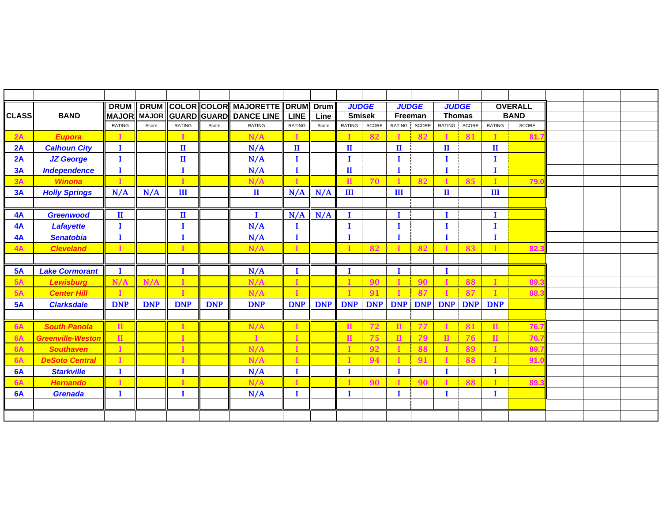|              |                          | <b>DRUM</b>   |            |                         |            | DRUM COLOR COLOR MAJORETTE DRUM |               | <b>Drum</b> | <b>JUDGE</b>  |            | <b>JUDGE</b> |            | <b>JUDGE</b>   |            |              | <b>OVERALL</b> |  |  |
|--------------|--------------------------|---------------|------------|-------------------------|------------|---------------------------------|---------------|-------------|---------------|------------|--------------|------------|----------------|------------|--------------|----------------|--|--|
| <b>CLASS</b> | <b>BAND</b>              |               |            | MAJOR MAJOR GUARD GUARD |            | <b>DANCE LINE</b>               | <b>LINE</b>   | Line        | <b>Smisek</b> |            | Freeman      |            | <b>Thomas</b>  |            |              | <b>BAND</b>    |  |  |
|              |                          | <b>RATING</b> | Score      | <b>RATING</b>           | Score      | <b>RATING</b>                   | <b>RATING</b> | Score       | RATING SCORE  |            | RATING SCORE |            | RATING SCORE   |            | RATING       | SCORE          |  |  |
| 2A           | <b>Eupora</b>            |               |            | $\mathbf I$             |            | N/A                             | I             |             | $\mathbf I$   | 82         |              | 82         |                | 81         |              | 81.            |  |  |
| 2A           | <b>Calhoun City</b>      | Т             |            | $\mathbf{I}$            |            | N/A                             | $\mathbf{I}$  |             | п             |            | $\mathbf{H}$ |            | $\mathbf{I}$   |            | $\mathbf{I}$ |                |  |  |
| 2A           | <b>JZ George</b>         | I             |            | $\mathbf{I}$            |            | N/A                             | I             |             | I             |            | T            |            | П              |            | Т            |                |  |  |
| 3A           | <b>Independence</b>      | $\bf{I}$      |            | $\bf{I}$                |            | N/A                             | $\mathbf I$   |             | $\mathbf{I}$  |            | I            |            | $\bf{I}$       |            | I            |                |  |  |
| 3A           | <b>Winona</b>            | т             |            | T                       |            | N/A                             | п             |             | $\mathbf{H}$  | 70         |              | 82         | $\blacksquare$ | 85         |              | 79.            |  |  |
| 3A           | <b>Holly Springs</b>     | N/A           | N/A        | III                     |            | $\mathbf{I}$                    | N/A           | N/A         | III           |            | III          |            | $\mathbf{I}$   |            | III          |                |  |  |
|              |                          |               |            |                         |            |                                 |               |             |               |            |              |            |                |            |              |                |  |  |
| 4A           | <b>Greenwood</b>         | $\mathbf{I}$  |            | $\mathbf{I}$            |            | 1                               | N/A           | N/A         | I             |            | Т            |            | П              |            | Т            |                |  |  |
| 4A           | <b>Lafayette</b>         | $\bf{I}$      |            | $\mathbf I$             |            | N/A                             | п             |             | $\mathbf I$   |            | $\bf{I}$     |            | I              |            | I            |                |  |  |
| 4A           | <b>Senatobia</b>         | П             |            | I                       |            | N/A                             | $\mathbf I$   |             | $\bf I$       |            | T            |            | $\bf{I}$       |            | I            |                |  |  |
| 4A           | <b>Cleveland</b>         |               |            | $\mathbf{r}$            |            | N/A                             | п             |             |               | 82         |              | 82         |                | 83         |              | 82.            |  |  |
|              |                          |               |            |                         |            |                                 |               |             |               |            |              |            |                |            |              |                |  |  |
| 5A           | <b>Lake Cormorant</b>    | I             |            | I                       |            | N/A                             | I             |             | п             |            | Т            |            | п              |            |              |                |  |  |
| 5A           | <b>Lewisburg</b>         | N/A           | N/A        | $\mathbf I$             |            | N/A                             | п             |             | $\mathbf{I}$  | 90         |              | 90         | $\mathbf{I}$   | 88         |              | 89             |  |  |
| 5A           | <b>Center Hill</b>       |               |            | $\mathbf{r}$            |            | N/A                             |               |             |               | 91         |              | 87         |                | 87         |              | 88.            |  |  |
| 5A           | <b>Clarksdale</b>        | <b>DNP</b>    | <b>DNP</b> | <b>DNP</b>              | <b>DNP</b> | <b>DNP</b>                      | <b>DNP</b>    | <b>DNP</b>  | <b>DNP</b>    | <b>DNP</b> | <b>DNP</b>   | <b>DNP</b> | <b>DNP</b>     | <b>DNP</b> | <b>DNP</b>   |                |  |  |
|              |                          |               |            |                         |            |                                 |               |             |               |            |              |            |                |            |              |                |  |  |
| 6A           | <b>South Panola</b>      | $\mathbf{II}$ |            | $\mathbf{I}$            |            | N/A                             | т             |             | $\mathbf{I}$  | 72         | $\mathbf{I}$ | 77         |                | 81         | $\mathbf{H}$ | 76.            |  |  |
| <b>6A</b>    | <b>Greenville-Weston</b> | $\mathbf{H}$  |            | $\mathbf{I}$            |            |                                 |               |             |               | 75         | $\mathbf{H}$ | 79         | $\Pi$          | 76         | $\mathbf{H}$ | 76.            |  |  |
| 6A           | <b>Southaven</b>         | т             |            | $\mathbf I$             |            | N/A                             | I             |             | T             | 92         |              | 88         |                | 89         |              | 89.            |  |  |
| <b>6A</b>    | <b>DeSoto Central</b>    |               |            | $\mathbf I$             |            | N/A                             | п             |             |               | 94         |              | 91         |                | 88         |              | 91.            |  |  |
| 6A           | <b>Starkville</b>        | п             |            | I                       |            | N/A                             | П             |             | $\bf I$       |            | T            |            | п              |            | T            |                |  |  |
| <b>6A</b>    | <b>Hernando</b>          |               |            | п                       |            | N/A                             | п             |             |               | 90         |              | 90         |                | 88         |              | 89.            |  |  |
| 6A           | <b>Grenada</b>           | T             |            | 1                       |            | N/A                             | I             |             | Т             |            | $\bf{I}$     |            | T              |            | 1            |                |  |  |
|              |                          |               |            |                         |            |                                 |               |             |               |            |              |            |                |            |              |                |  |  |
|              |                          |               |            |                         |            |                                 |               |             |               |            |              |            |                |            |              |                |  |  |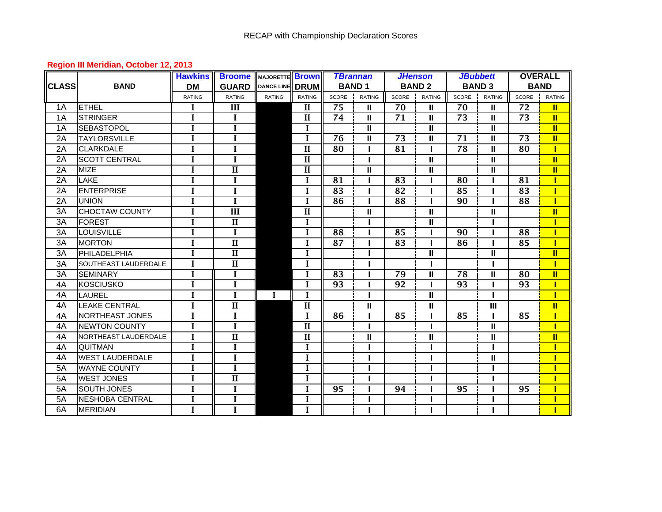## **Region III Meridian, October 12, 2013**

|                 |                             | <b>Hawkins</b> | <b>Broome</b> MAJORETTE Brown |                 |                         |                 | <b>TBrannan</b> |                 | <b>JHenson</b> |                 | <b>JBubbett</b> | <b>OVERALL</b>  |                |  |
|-----------------|-----------------------------|----------------|-------------------------------|-----------------|-------------------------|-----------------|-----------------|-----------------|----------------|-----------------|-----------------|-----------------|----------------|--|
| <b>CLASS</b>    | <b>BAND</b>                 | <b>DM</b>      | <b>GUARD</b>                  | DANCE LINE DRUM |                         |                 | <b>BAND1</b>    |                 | <b>BAND 2</b>  |                 | <b>BAND 3</b>   | <b>BAND</b>     |                |  |
|                 |                             | <b>RATING</b>  | <b>RATING</b>                 | <b>RATING</b>   | <b>RATING</b>           | SCORE           | <b>RATING</b>   | SCORE           | <b>RATING</b>  | SCORE           | <b>RATING</b>   | SCORE           | <b>RATING</b>  |  |
| 1A              | <b>ETHEL</b>                | I              | III                           |                 | $\mathbf{I}$            | $\overline{75}$ | $\mathbf{I}$    | 70              | $\mathbf{H}$   | 70              | $\mathbf{I}$    | 72              | $\mathbf{I}$   |  |
| 1A              | <b>STRINGER</b>             | $\mathbf{I}$   | L                             |                 | $\mathbf{I}$            | 74              | Ш               | 71              | $\mathbf{H}$   | 73              | $\mathbf{I}$    | 73              | $\mathbf{u}$   |  |
| 1A              | <b>SEBASTOPOL</b>           | $\mathbf{I}$   | $\mathbf{I}$                  |                 | $\mathbf I$             |                 | Ш               |                 | $\mathbf{I}$   |                 | $\mathbf{II}$   |                 | $\mathbf{II}$  |  |
| 2A              | <b>TAYLORSVILLE</b>         | $\mathbf I$    | $\mathbf I$                   |                 | $\mathbf I$             | $\overline{76}$ | Ш               | $\overline{73}$ | $\mathbf{I}$   | $\overline{71}$ | $\mathbf{II}$   | $\overline{73}$ | $\mathbf{II}$  |  |
| 2A              | <b>CLARKDALE</b>            | I              | I                             |                 | $\overline{\mathbf{H}}$ | 80              | L               | 81              |                | 78              | $\mathbf{II}$   | 80              | Π              |  |
| 2A              | <b>SCOTT CENTRAL</b>        | I              | $\mathbf I$                   |                 | $\mathbf{I}$            |                 |                 |                 | Ш              |                 | Ш               |                 | $\mathbf{II}$  |  |
| 2A              | <b>MIZE</b>                 | $\mathbf I$    | $\overline{\mathbf{I}}$       |                 | $\overline{\mathbf{I}}$ |                 | Ш               |                 | Ш              |                 | $\mathbf{I}$    |                 | $\blacksquare$ |  |
| 2A              | LAKE                        | $\mathbf I$    | $\mathbf I$                   |                 | $\mathbf I$             | 81              |                 | 83              |                | 80              |                 | 81              |                |  |
| 2A              | <b>ENTERPRISE</b>           | Ī              | $\mathbf{I}$                  |                 | Ī                       | 83              |                 | 82              |                | 85              |                 | 83              | Π              |  |
| 2A              | <b>UNION</b>                | I              | $\mathbf{I}$                  |                 | I                       | 86              | L               | 88              |                | 90              |                 | 88              | П              |  |
| $\overline{3A}$ | <b>CHOCTAW COUNTY</b>       | $\overline{I}$ | $\overline{\text{III}}$       |                 | $\overline{\mathbf{u}}$ |                 | II              |                 | $\mathbf{H}$   |                 | $\mathbf{II}$   |                 | $\mathbf{II}$  |  |
| 3A              | <b>FOREST</b>               | $\overline{I}$ | $\overline{\mathbf{I}}$       |                 | $\mathbf I$             |                 |                 |                 | $\mathbf{I}$   |                 |                 |                 |                |  |
| 3A              | <b>LOUISVILLE</b>           | $\mathbf{I}$   | $\mathbf I$                   |                 | L                       | 88              |                 | 85              |                | 90              |                 | 88              |                |  |
| 3A              | <b>MORTON</b>               | $\mathbf{I}$   | $\overline{\mathbf{I}}$       |                 | I                       | 87              |                 | 83              |                | 86              |                 | 85              |                |  |
| 3A              | PHILADELPHIA                | $\mathbf I$    | $\mathbf{I}$                  |                 | $\mathbf I$             |                 |                 |                 | $\mathbf{I}$   |                 | Ш               |                 | π              |  |
| 3A              | <b>SOUTHEAST LAUDERDALE</b> | I              | $\mathbf{I}$                  |                 | $\mathbf I$             |                 |                 |                 |                |                 |                 |                 |                |  |
| 3A              | <b>SEMINARY</b>             | I              | $\mathbf I$                   |                 | $\mathbf I$             | 83              |                 | 79              | $\mathbf{I}$   | 78              | $\mathbf{II}$   | 80              | $\mathbf{II}$  |  |
| 4A              | <b>KOSCIUSKO</b>            | $\mathbf I$    | $\mathbf{I}$                  |                 | $\mathbf I$             | 93              |                 | 92              |                | 93              |                 | 93              | Т              |  |
| 4A              | LAUREL                      | $\mathbf I$    | $\mathbf{I}$                  | $\bf{I}$        | $\mathbf I$             |                 | ı               |                 | $\mathbf{H}$   |                 |                 |                 |                |  |
| 4A              | <b>LEAKE CENTRAL</b>        | I              | $\overline{\mathbf{I}}$       |                 | $\mathbf{I}$            |                 | Ш               |                 | Ш              |                 | $\mathbf{III}$  |                 | $\mathbf{I}$   |  |
| 4A              | NORTHEAST JONES             | $\mathbf{I}$   | $\mathbf I$                   |                 | $\mathbf I$             | 86              | $\mathbf{I}$    | 85              |                | 85              |                 | 85              |                |  |
| 4A              | <b>INEWTON COUNTY</b>       | $\mathbf{I}$   | $\mathbf{I}$                  |                 | $\overline{\mathbf{I}}$ |                 |                 |                 |                |                 | $\mathbf{II}$   |                 |                |  |
| 4A              | NORTHEAST LAUDERDALE        | $\mathbf{I}$   | $\overline{\mathbf{I}}$       |                 | $\mathbf{I}$            |                 | Ш               |                 | $\mathbf{I}$   |                 | $\mathbf{I}$    |                 | π              |  |
| 4A              | <b>QUITMAN</b>              | I              | $\mathbf I$                   |                 | I                       |                 |                 |                 |                |                 |                 |                 |                |  |
| 4A              | <b>WEST LAUDERDALE</b>      | ī              | $\overline{I}$                |                 | $\overline{I}$          |                 |                 |                 |                |                 | $\mathbf{II}$   |                 | Т              |  |
| 5A              | <b>WAYNE COUNTY</b>         | ī              | $\mathbf{I}$                  |                 | $\mathbf{I}$            |                 |                 |                 |                |                 |                 |                 |                |  |
| 5A              | <b>WEST JONES</b>           | $\mathbf I$    | $\overline{\mathbf{I}}$       |                 | $\mathbf I$             |                 |                 |                 |                |                 |                 |                 |                |  |
| 5A              | <b>SOUTH JONES</b>          | $\mathbf I$    | $\mathbf I$                   |                 | $\mathbf I$             | 95              |                 | 94              |                | 95              |                 | 95              |                |  |
| 5A              | <b>NESHOBA CENTRAL</b>      | $\mathbf I$    | I                             |                 | I                       |                 |                 |                 |                |                 |                 |                 |                |  |
| 6A              | <b>MERIDIAN</b>             | $\mathbf{I}$   | $\mathbf{I}$                  |                 |                         |                 |                 |                 |                |                 |                 |                 |                |  |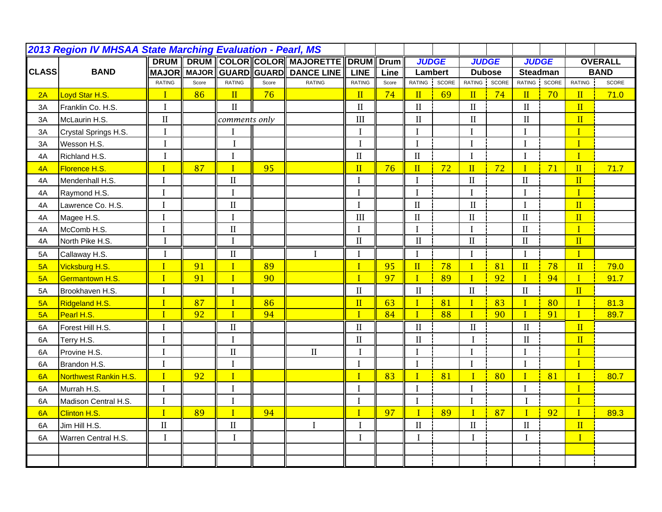| 2013 Region IV MHSAA State Marching Evaluation - Pearl, MS |                       |                |       |                |       |                                      |                         |       |                         |    |                     |    |                         |    |                         |                |
|------------------------------------------------------------|-----------------------|----------------|-------|----------------|-------|--------------------------------------|-------------------------|-------|-------------------------|----|---------------------|----|-------------------------|----|-------------------------|----------------|
|                                                            |                       | <b>DRUM</b>    |       |                |       | DRUM COLOR COLOR MAJORETTE DRUM Drum |                         |       | <b>JUDGE</b>            |    | <b>JUDGE</b>        |    | <b>JUDGE</b>            |    |                         | <b>OVERALL</b> |
| <b>CLASS</b>                                               | <b>BAND</b>           | <b>MAJOR</b>   |       |                |       | MAJOR GUARD GUARD DANCE LINE         | <b>LINE</b>             | Line  | Lambert                 |    | <b>Dubose</b>       |    | <b>Steadman</b>         |    |                         | <b>BAND</b>    |
|                                                            |                       | <b>RATING</b>  | Score | <b>RATING</b>  | Score | <b>RATING</b>                        | <b>RATING</b>           | Score | RATING SCORE            |    | RATING SCORE        |    | RATING SCORE            |    | <b>RATING</b>           | <b>SCORE</b>   |
| 2A                                                         | Loyd Star H.S.        | $\overline{I}$ | 86    | II             | 76    |                                      | $\mathbf{II}$           | 74    | $\overline{\mathbf{H}}$ | 69 | $\mathbf{II}$       | 74 | $\mathbf{II}$           | 70 | II                      | 71.0           |
| 3A                                                         | Franklin Co. H.S.     | I              |       | $\mathbf{I}$   |       |                                      | $\mathbf{I}$            |       | $\mathbf{I}$            |    | $\mathbf{I}$        |    | $\mathbf{I}$            |    | $\overline{\mathbf{H}}$ |                |
| 3A                                                         | McLaurin H.S.         | $\rm II$       |       | comments only  |       |                                      | III                     |       | $\mathbf{I}$            |    | $\mathbf{I}$        |    | $\mathbf{I}$            |    | II                      |                |
| 3A                                                         | Crystal Springs H.S.  | $\mathbf I$    |       | I              |       |                                      | $\mathbf I$             |       | $\bf{I}$                |    | $\mathbf I$         |    | $\bf{I}$                |    | $\mathbf I$             |                |
| 3A                                                         | Wesson H.S.           | $\bf I$        |       | $\mathbf I$    |       |                                      | $\bf{I}$                |       | $\mathbf I$             |    | $\rm I$             |    | $\rm I$                 |    | $\overline{I}$          |                |
| 4A                                                         | Richland H.S.         | Ī              |       | $\mathbf I$    |       |                                      | $\rm II$                |       | $\mathbf{I}$            |    | I                   |    | $\mathbf I$             |    | $\overline{1}$          |                |
| 4A                                                         | Florence H.S.         | T              | 87    | $\overline{I}$ | 95    |                                      | $\overline{\rm II}$     | 76    | $\overline{\mathbf{H}}$ | 72 | $\overline{\rm II}$ | 72 | $\mathbf{I}$            | 71 | $\overline{\mathbf{H}}$ | 71.7           |
| 4A                                                         | Mendenhall H.S.       |                |       | $\mathbf{I}$   |       |                                      |                         |       | $\mathbf I$             |    | $\mathbf{I}$        |    | $\rm II$                |    | $\overline{\mathbf{H}}$ |                |
| 4A                                                         | Raymond H.S.          | I              |       | I              |       |                                      | $\mathbf I$             |       | $\mathbf I$             |    | $\mathbf I$         |    | $\mathbf{I}$            |    | $\overline{I}$          |                |
| 4A                                                         | Lawrence Co. H.S.     | $\mathbf{l}$   |       | $\rm II$       |       |                                      | $\mathbf I$             |       | $\mathbf{II}$           |    | $\mathbf{I}$        |    | $\mathbf I$             |    | $\overline{\mathbf{H}}$ |                |
| 4A                                                         | Magee H.S.            | $\mathbf I$    |       | $\mathbf I$    |       |                                      | III                     |       | $\mathbf{I}$            |    | $\mathbf{I}$        |    | $\rm II$                |    | $\overline{\mathbf{H}}$ |                |
| 4A                                                         | McComb H.S.           | $\mathbf I$    |       | $\mathbf{I}$   |       |                                      | $\mathbf I$             |       | $\mathbf{I}$            |    | I                   |    | $\rm II$                |    | I                       |                |
| 4A                                                         | North Pike H.S.       | I              |       | I              |       |                                      | $\rm II$                |       | $\rm II$                |    | $\rm II$            |    | $\rm II$                |    | $\overline{\mathbf{H}}$ |                |
| 5A                                                         | Callaway H.S.         | $\mathbf I$    |       | $\mathbf{I}$   |       | I                                    | $\mathbf I$             |       | I                       |    | I                   |    | I                       |    | $\mathbf I$             |                |
| 5A                                                         | Vicksburg H.S.        | $\mathbf{I}$   | 91    | $\overline{I}$ | 89    |                                      | $\mathbf I$             | 95    | $\mathbf{II}$           | 78 | $\mathbf{I}$        | 81 | $\overline{\mathbf{H}}$ | 78 | $\mathbf{I}$            | 79.0           |
| 5A                                                         | Germantown H.S.       | $\mathbf{I}$   | 91    | $\overline{I}$ | 90    |                                      | $\mathbf{I}$            | 97    | $\mathbf{I}$            | 89 | $\mathbf{I}$        | 92 | $\overline{I}$          | 94 | $\mathbf{I}$            | 91.7           |
| 5A                                                         | Brookhaven H.S.       | $\mathbf I$    |       | I              |       |                                      | $\mathbf{I}$            |       | $\rm II$                |    | $\rm II$            |    | $\rm II$                |    | $\mathbf{II}$           |                |
| 5A                                                         | Ridgeland H.S.        | $\mathbf{I}$   | 87    | $\overline{I}$ | 86    |                                      | $\overline{\mathbf{H}}$ | 63    | $\mathbf{I}$            | 81 | $\mathbf{I}$        | 83 | $\mathbf{I}$            | 80 | $\mathbf{I}$            | 81.3           |
| 5A                                                         | Pearl H.S.            | $\overline{I}$ | 92    | $\overline{I}$ | 94    |                                      | $\mathbf{I}$            | 84    | $\overline{I}$          | 88 | $\mathbf{I}$        | 90 | $\overline{I}$          | 91 | $\overline{1}$          | 89.7           |
| 6A                                                         | Forest Hill H.S.      | $\mathbf I$    |       | $\mathbf{I}$   |       |                                      | $\mathbf{I}$            |       | $\mathbf{I}$            |    | $\mathbf{I}$        |    | $\mathbf{I}$            |    | $\mathbf{II}$           |                |
| 6A                                                         | Terry H.S.            | $\mathbf{l}$   |       | $\mathbf I$    |       |                                      | $\mathbf{I}$            |       | $\mathbf{I}$            |    | $\mathbf{I}$        |    | $\rm II$                |    | $\overline{\mathbf{H}}$ |                |
| 6A                                                         | Provine H.S.          | $\mathbf{I}$   |       | $\mathbf{I}$   |       | $\mathbf{I}$                         |                         |       | $\mathbf{I}$            |    | $\mathbf I$         |    | $\mathbf I$             |    | $\overline{I}$          |                |
| 6A                                                         | Brandon H.S.          | $\bf{l}$       |       | $\bf I$        |       |                                      | $\mathbf I$             |       | $\mathbf I$             |    | $\mathbf I$         |    | $\mathbf I$             |    | $\overline{I}$          |                |
| 6A                                                         | Northwest Rankin H.S. | $\mathbf{I}$   | 92    | $\overline{I}$ |       |                                      | $\mathbf{I}$            | 83    | $\mathbf{I}$            | 81 | $\mathbf{I}$        | 80 | $\mathbf{I}$            | 81 | $\overline{I}$          | 80.7           |
| 6A                                                         | Murrah H.S.           | $\mathbf{I}$   |       | $\mathbf I$    |       |                                      | $\bf{I}$                |       | $\bf{I}$                |    | $\mathbf I$         |    | $\mathbf{I}$            |    | I                       |                |
| 6A                                                         | Madison Central H.S.  | $\mathbf I$    |       | $\mathbf I$    |       |                                      | $\mathbf I$             |       | $\mathbf I$             |    | $\mathbf I$         |    | $\mathbf I$             |    | $\overline{I}$          |                |
| 6A                                                         | Clinton H.S.          | $\mathbf I$    | 89    | $\overline{I}$ | 94    |                                      | $\mathbf I$             | 97    | $\overline{I}$          | 89 | $\mathbf{I}$        | 87 | $\mathbf{I}$            | 92 | $\mathbf I$             | 89.3           |
| 6A                                                         | Jim Hill H.S.         | $\mathbf{I}$   |       | $\mathbf{I}$   |       | $\mathbf I$                          | I                       |       | $\mathbf{I}$            |    | $\mathbf{I}$        |    | $\mathbf{I}$            |    | $\mathbf{I}$            |                |
| 6A                                                         | Warren Central H.S.   | I              |       | $\mathbf I$    |       |                                      |                         |       | $\bf{I}$                |    | $\mathbf I$         |    | $\mathbf I$             |    | $\mathbf{I}$            |                |
|                                                            |                       |                |       |                |       |                                      |                         |       |                         |    |                     |    |                         |    |                         |                |
|                                                            |                       |                |       |                |       |                                      |                         |       |                         |    |                     |    |                         |    |                         |                |